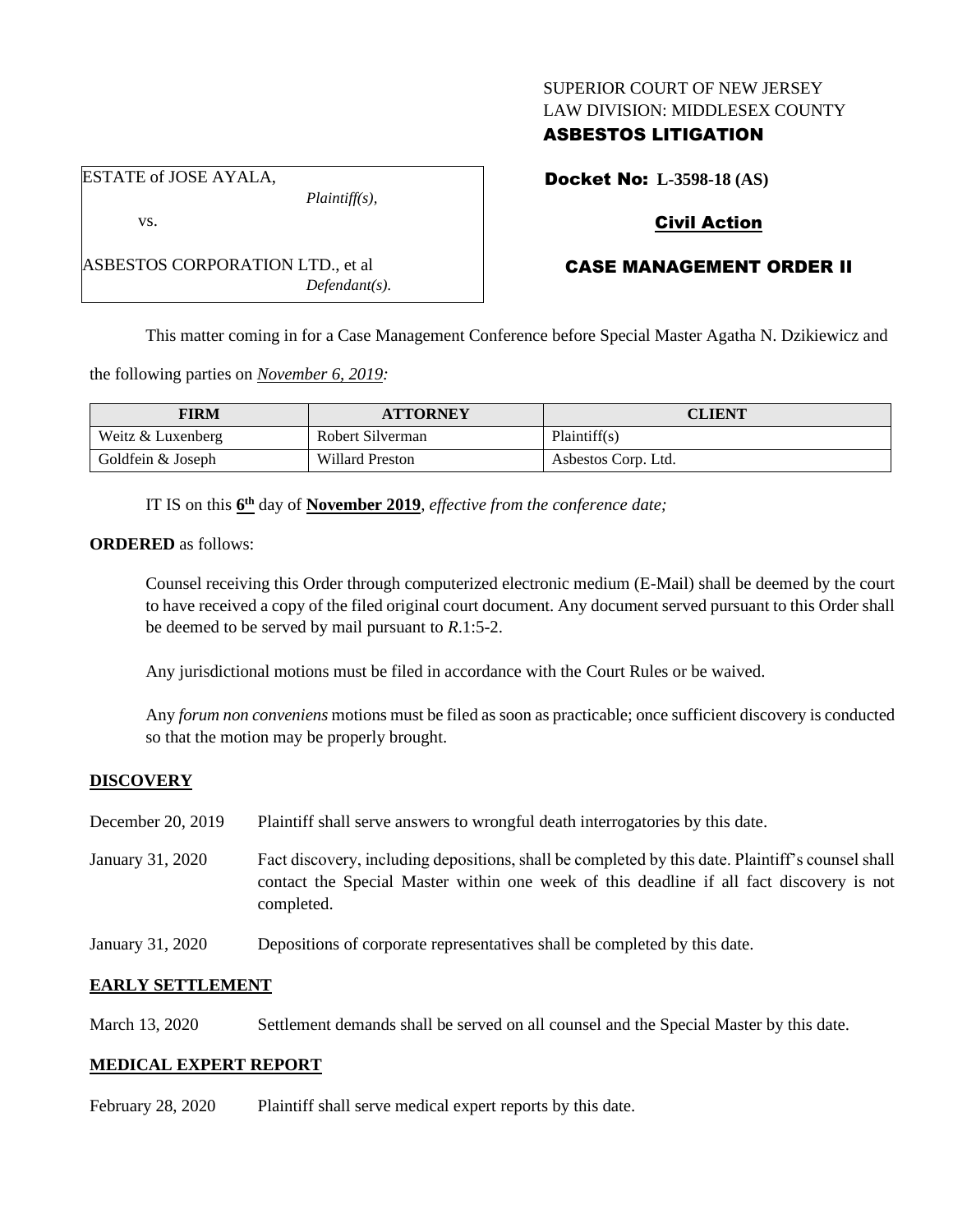#### SUPERIOR COURT OF NEW JERSEY LAW DIVISION: MIDDLESEX COUNTY

# ASBESTOS LITIGATION

ESTATE of JOSE AYALA,

vs.

ASBESTOS CORPORATION LTD., et al *Defendant(s).*

*Plaintiff(s),*

Docket No: **L-3598-18 (AS)**

# Civil Action

# CASE MANAGEMENT ORDER II

This matter coming in for a Case Management Conference before Special Master Agatha N. Dzikiewicz and

the following parties on *November 6, 2019:*

| FIRM              | <b>ATTORNEY</b>        | CLIENT              |
|-------------------|------------------------|---------------------|
| Weitz & Luxenberg | Robert Silverman       | Plaintiff(s)        |
| Goldfein & Joseph | <b>Willard Preston</b> | Asbestos Corp. Ltd. |

IT IS on this **6 th** day of **November 2019**, *effective from the conference date;*

**ORDERED** as follows:

Counsel receiving this Order through computerized electronic medium (E-Mail) shall be deemed by the court to have received a copy of the filed original court document. Any document served pursuant to this Order shall be deemed to be served by mail pursuant to *R*.1:5-2.

Any jurisdictional motions must be filed in accordance with the Court Rules or be waived.

Any *forum non conveniens* motions must be filed as soon as practicable; once sufficient discovery is conducted so that the motion may be properly brought.

## **DISCOVERY**

| December 20, 2019 | Plaintiff shall serve answers to wrongful death interrogatories by this date.                                                                                                                               |
|-------------------|-------------------------------------------------------------------------------------------------------------------------------------------------------------------------------------------------------------|
| January 31, 2020  | Fact discovery, including depositions, shall be completed by this date. Plaintiff's counsel shall<br>contact the Special Master within one week of this deadline if all fact discovery is not<br>completed. |
| January 31, 2020  | Depositions of corporate representatives shall be completed by this date.                                                                                                                                   |

## **EARLY SETTLEMENT**

March 13, 2020 Settlement demands shall be served on all counsel and the Special Master by this date.

## **MEDICAL EXPERT REPORT**

February 28, 2020 Plaintiff shall serve medical expert reports by this date.